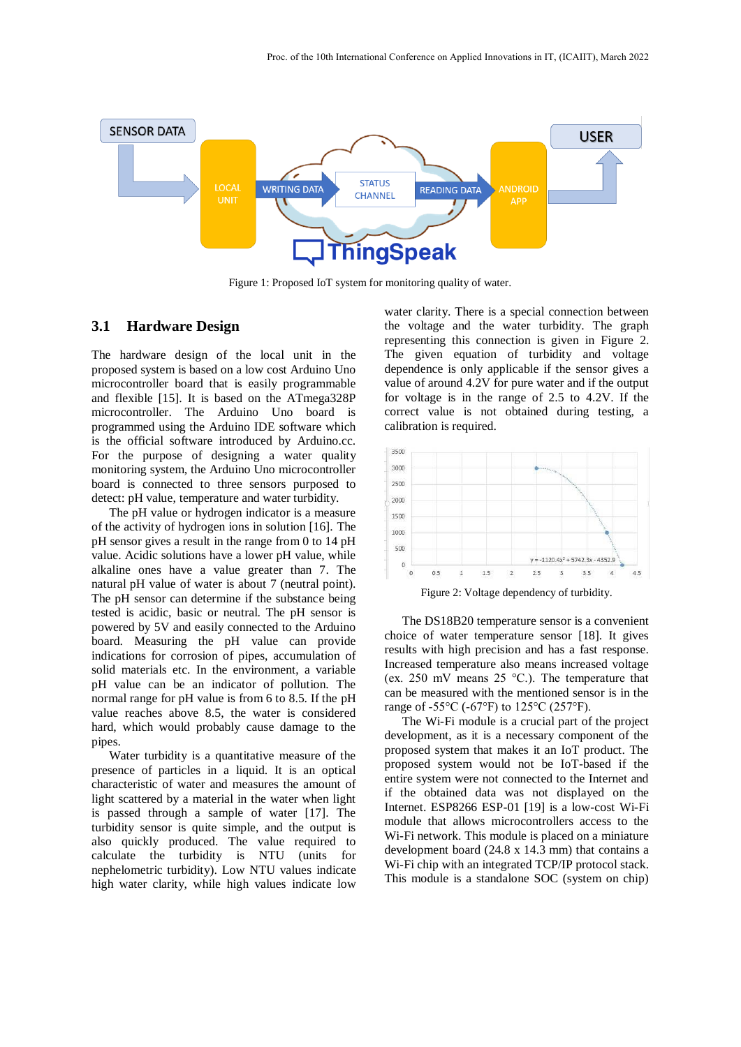

Figure 1: Proposed IoT system for monitoring quality of water.

#### **3.1 Hardware Design**

The hardware design of the local unit in the proposed system is based on a low cost Arduino Uno microcontroller board that is easily programmable and flexible [15]. It is based on the ATmega328P microcontroller. The Arduino Uno board is programmed using the Arduino IDE software which is the official software introduced by Arduino.cc. For the purpose of designing a water quality monitoring system, the Arduino Uno microcontroller board is connected to three sensors purposed to detect: pH value, temperature and water turbidity.

The pH value or hydrogen indicator is a measure of the activity of hydrogen ions in solution [16]. The pH sensor gives a result in the range from 0 to 14 pH value. Acidic solutions have a lower pH value, while alkaline ones have a value greater than 7. The natural pH value of water is about 7 (neutral point). The pH sensor can determine if the substance being tested is acidic, basic or neutral. The pH sensor is powered by 5V and easily connected to the Arduino board. Measuring the pH value can provide indications for corrosion of pipes, accumulation of solid materials etc. In the environment, a variable pH value can be an indicator of pollution. The normal range for pH value is from 6 to 8.5. If the pH value reaches above 8.5, the water is considered hard, which would probably cause damage to the pipes.

Water turbidity is a quantitative measure of the presence of particles in a liquid. It is an optical characteristic of water and measures the amount of light scattered by a material in the water when light is passed through a sample of water [17]. The turbidity sensor is quite simple, and the output is also quickly produced. The value required to calculate the turbidity is NTU (units for nephelometric turbidity). Low NTU values indicate high water clarity, while high values indicate low

water clarity. There is a special connection between the voltage and the water turbidity. The graph representing this connection is given in Figure 2. The given equation of turbidity and voltage dependence is only applicable if the sensor gives a value of around 4.2V for pure water and if the output for voltage is in the range of 2.5 to 4.2V. If the correct value is not obtained during testing, a calibration is required.



Figure 2: Voltage dependency of turbidity.

The DS18B20 temperature sensor is a convenient choice of water temperature sensor [18]. It gives results with high precision and has a fast response. Increased temperature also means increased voltage (ex. 250 mV means 25 °C.). The temperature that can be measured with the mentioned sensor is in the range of -55 $\rm{^{\circ}C}$  (-67 $\rm{^{\circ}F}$ ) to 125 $\rm{^{\circ}C}$  (257 $\rm{^{\circ}F}$ ).

The Wi-Fi module is a crucial part of the project development, as it is a necessary component of the proposed system that makes it an IoT product. The proposed system would not be IoT-based if the entire system were not connected to the Internet and if the obtained data was not displayed on the Internet. ESP8266 ESP-01 [19] is a low-cost Wi-Fi module that allows microcontrollers access to the Wi-Fi network. This module is placed on a miniature development board (24.8 x 14.3 mm) that contains a Wi-Fi chip with an integrated TCP/IP protocol stack. This module is a standalone SOC (system on chip)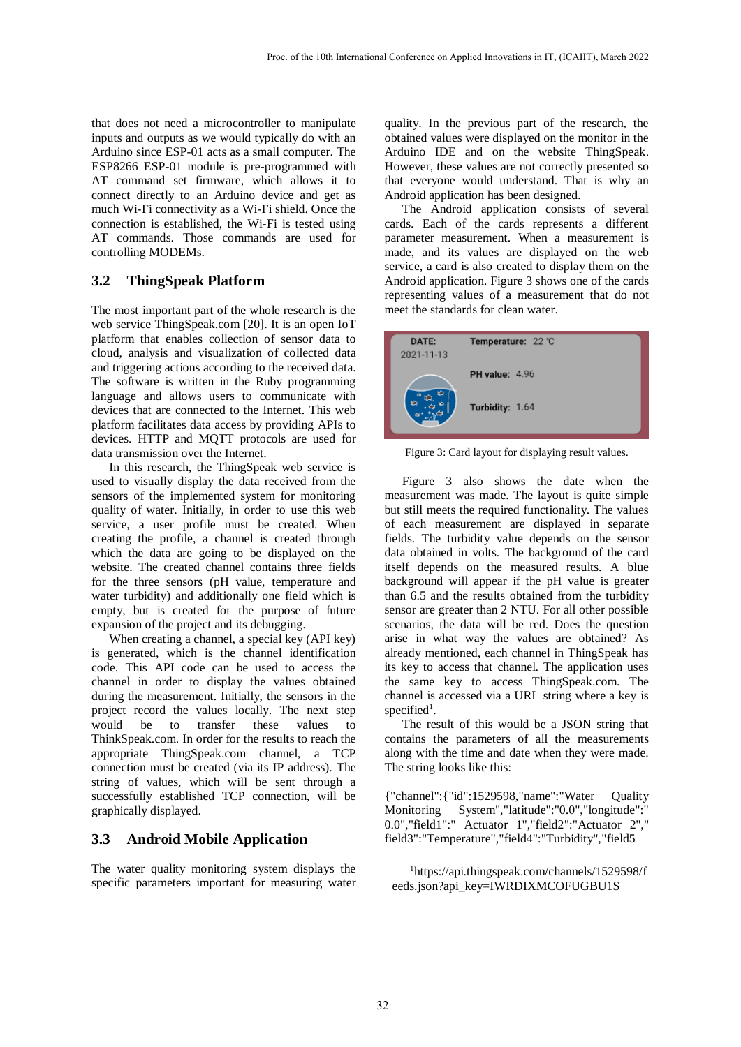that does not need a microcontroller to manipulate inputs and outputs as we would typically do with an Arduino since ESP-01 acts as a small computer. The ESP8266 ESP-01 module is pre-programmed with AT command set firmware, which allows it to connect directly to an Arduino device and get as much Wi-Fi connectivity as a Wi-Fi shield. Once the connection is established, the Wi-Fi is tested using AT commands. Those commands are used for controlling MODEMs.

## **3.2 ThingSpeak Platform**

The most important part of the whole research is the web service ThingSpeak.com [20]. It is an open IoT platform that enables collection of sensor data to cloud, analysis and visualization of collected data and triggering actions according to the received data. The software is written in the Ruby programming language and allows users to communicate with devices that are connected to the Internet. This web platform facilitates data access by providing APIs to devices. HTTP and MQTT protocols are used for data transmission over the Internet.

In this research, the ThingSpeak web service is used to visually display the data received from the sensors of the implemented system for monitoring quality of water. Initially, in order to use this web service, a user profile must be created. When creating the profile, a channel is created through which the data are going to be displayed on the website. The created channel contains three fields for the three sensors (pH value, temperature and water turbidity) and additionally one field which is empty, but is created for the purpose of future expansion of the project and its debugging.

When creating a channel, a special key (API key) is generated, which is the channel identification code. This API code can be used to access the channel in order to display the values obtained during the measurement. Initially, the sensors in the project record the values locally. The next step would be to transfer these values to ThinkSpeak.com. In order for the results to reach the appropriate ThingSpeak.com channel, a TCP connection must be created (via its IP address). The string of values, which will be sent through a successfully established TCP connection, will be graphically displayed.

## **3.3 Android Mobile Application**

The water quality monitoring system displays the specific parameters important for measuring water

quality. In the previous part of the research, the obtained values were displayed on the monitor in the Arduino IDE and on the website ThingSpeak. However, these values are not correctly presented so that everyone would understand. That is why an Android application has been designed.

The Android application consists of several cards. Each of the cards represents a different parameter measurement. When a measurement is made, and its values are displayed on the web service, a card is also created to display them on the Android application. Figure 3 shows one of the cards representing values of a measurement that do not meet the standards for clean water.



Figure 3: Card layout for displaying result values.

Figure 3 also shows the date when the measurement was made. The layout is quite simple but still meets the required functionality. The values of each measurement are displayed in separate fields. The turbidity value depends on the sensor data obtained in volts. The background of the card itself depends on the measured results. A blue background will appear if the pH value is greater than 6.5 and the results obtained from the turbidity sensor are greater than 2 NTU. For all other possible scenarios, the data will be red. Does the question arise in what way the values are obtained? As already mentioned, each channel in ThingSpeak has its key to access that channel. The application uses the same key to access ThingSpeak.com. The channel is accessed via a URL string where a key is specified<sup>1</sup>.

The result of this would be a JSON string that contains the parameters of all the measurements along with the time and date when they were made. The string looks like this:

{"channel":{"id":1529598,"name":"Water Quality Monitoring System","latitude":"0.0","longitude":" 0.0","field1":" Actuator 1","field2":"Actuator 2"," field3":"Temperature","field4":"Turbidity","field5

<sup>1</sup>https://api.thingspeak.com/channels/1529598/f eeds.json?api\_key=IWRDIXMCOFUGBU1S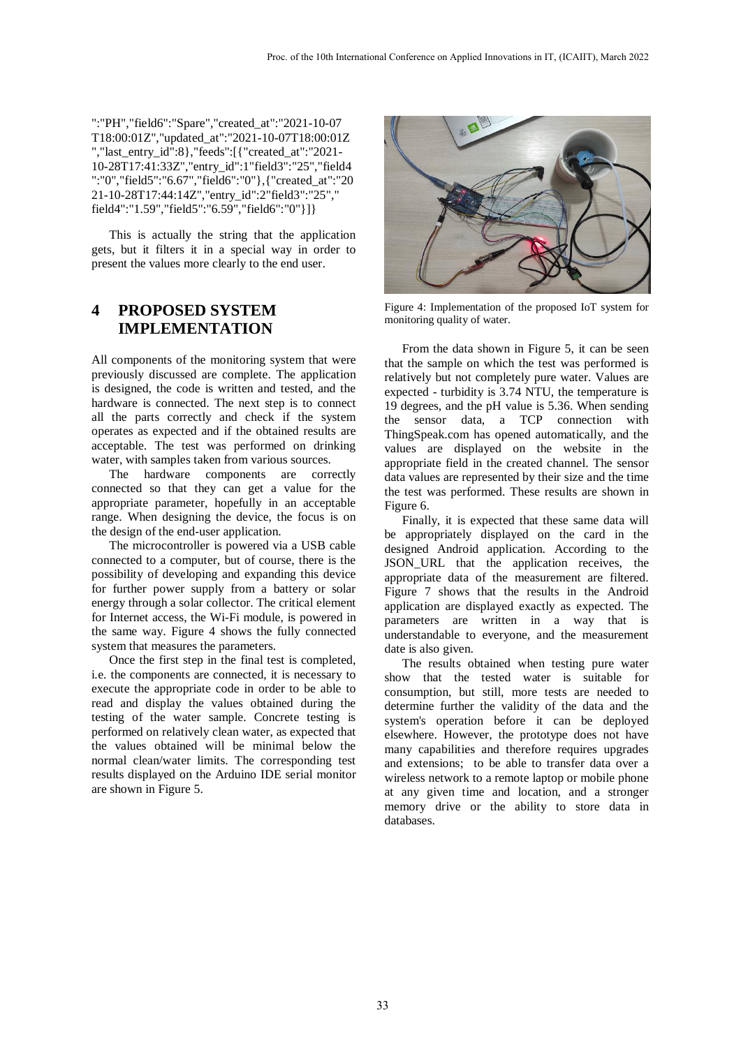":"PH","field6":"Spare","created\_at":"2021-10-07 T18:00:01Z","updated\_at":"2021-10-07T18:00:01Z ","last\_entry\_id":8},"feeds":[{"created\_at":"2021- 10-28T17:41:33Z","entry\_id":1"field3":"25","field4 ":"0","field5":"6.67","field6":"0"},{"created\_at":"20 21-10-28T17:44:14Z","entry\_id":2"field3":"25"," field4":"1.59","field5":"6.59","field6":"0"}]}

This is actually the string that the application gets, but it filters it in a special way in order to present the values more clearly to the end user.

# **4 PROPOSED SYSTEM IMPLEMENTATION**

All components of the monitoring system that were previously discussed are complete. The application is designed, the code is written and tested, and the hardware is connected. The next step is to connect all the parts correctly and check if the system operates as expected and if the obtained results are acceptable. The test was performed on drinking water, with samples taken from various sources.

The hardware components are correctly connected so that they can get a value for the appropriate parameter, hopefully in an acceptable range. When designing the device, the focus is on the design of the end-user application.

The microcontroller is powered via a USB cable connected to a computer, but of course, there is the possibility of developing and expanding this device for further power supply from a battery or solar energy through a solar collector. The critical element for Internet access, the Wi-Fi module, is powered in the same way. Figure 4 shows the fully connected system that measures the parameters.

Once the first step in the final test is completed, i.e. the components are connected, it is necessary to execute the appropriate code in order to be able to read and display the values obtained during the testing of the water sample. Concrete testing is performed on relatively clean water, as expected that the values obtained will be minimal below the normal clean/water limits. The corresponding test results displayed on the Arduino IDE serial monitor are shown in Figure 5.



Figure 4: Implementation of the proposed IoT system for monitoring quality of water.

From the data shown in Figure 5, it can be seen that the sample on which the test was performed is relatively but not completely pure water. Values are expected - turbidity is 3.74 NTU, the temperature is 19 degrees, and the pH value is 5.36. When sending the sensor data, a TCP connection with ThingSpeak.com has opened automatically, and the values are displayed on the website in the appropriate field in the created channel. The sensor data values are represented by their size and the time the test was performed. These results are shown in Figure 6.

Finally, it is expected that these same data will be appropriately displayed on the card in the designed Android application. According to the JSON\_URL that the application receives, the appropriate data of the measurement are filtered. Figure 7 shows that the results in the Android application are displayed exactly as expected. The parameters are written in a way that is understandable to everyone, and the measurement date is also given.

The results obtained when testing pure water show that the tested water is suitable for consumption, but still, more tests are needed to determine further the validity of the data and the system's operation before it can be deployed elsewhere. However, the prototype does not have many capabilities and therefore requires upgrades and extensions; to be able to transfer data over a wireless network to a remote laptop or mobile phone at any given time and location, and a stronger memory drive or the ability to store data in databases.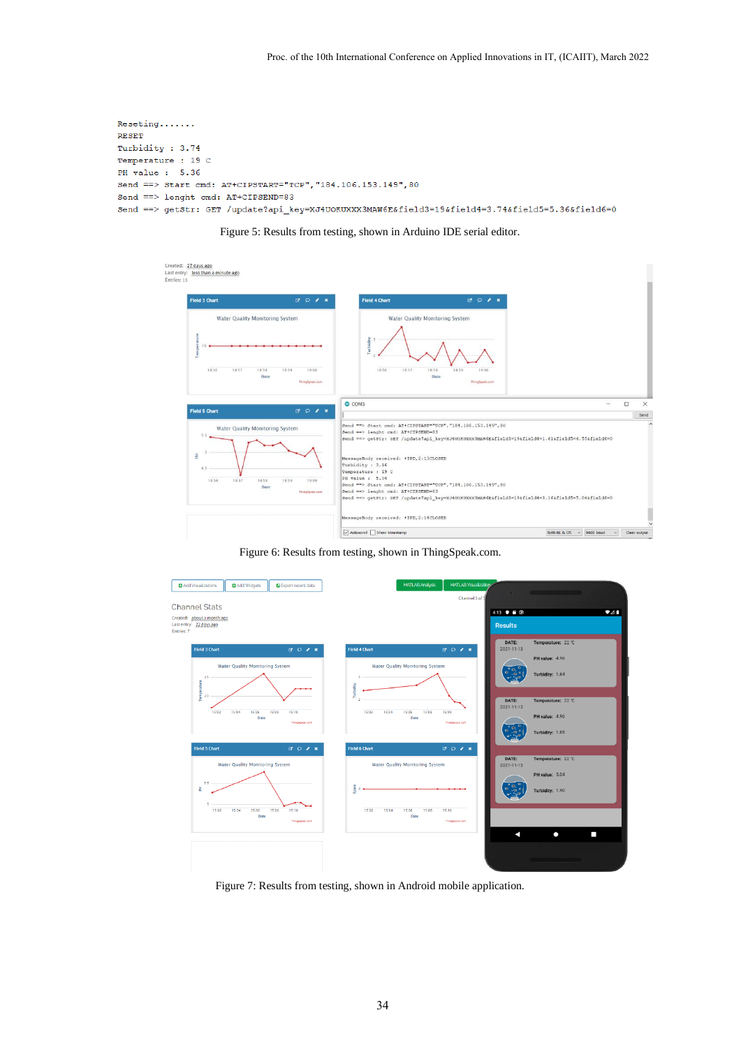```
Reseting.......
RESET
Turbidity: 3.74
Temperature : 19 C
PH value : 5.36
Send ==> Start cmd: AT+CIPSTART="TCP", "184.106.153.149",80
\mathtt{Send} \ \texttt{==}\!\!>\ \mathtt{length}\ \texttt{cmd}\colon\ \mathtt{AT+CIPSEND=83}Send ==> getStr: GET /update?api_key=XJ4UOKUXXX3MAW6E&field3=19&field4=3.74&field5=5.36&field6=0
```
Figure 5: Results from testing, shown in Arduino IDE serial editor.

| Created: 27 days ago<br>Last entry: less than a minute ago<br>Entries: 13    |                                          |                                                                                                                                                                                                            |                                                                                                                                                                                                      |                                         |                            |
|------------------------------------------------------------------------------|------------------------------------------|------------------------------------------------------------------------------------------------------------------------------------------------------------------------------------------------------------|------------------------------------------------------------------------------------------------------------------------------------------------------------------------------------------------------|-----------------------------------------|----------------------------|
| <b>Field 3 Chart</b>                                                         | $B$ $D$ $R$ $R$                          | <b>Field 4 Chart</b>                                                                                                                                                                                       | <b>BOIX</b>                                                                                                                                                                                          |                                         |                            |
| Water Quality Monitoring System<br>ĝ<br>per<br>19<br>18.56<br>18.57<br>18:58 | 18:59<br>19:00<br>Date<br>ThingSpeak.com | Turbidity<br>18:56<br>18:57                                                                                                                                                                                | Water Quality Monitoring System<br>18:58<br>18:59<br>19:00<br>Date<br>ThingSpeak.com                                                                                                                 |                                         |                            |
| <b>Field 5 Chart</b><br>Water Quality Monitoring System<br>$5.5 -$           | <b>BDIX</b>                              | $O$ COM3<br>Send ==> Start cmd: AT+CIPSTART="TCP", "184.106.153.149", 80<br>Send ==> lenght cmd: AT+CIPSEND=83                                                                                             |                                                                                                                                                                                                      | m.                                      | $\Box$<br>$\times$<br>Send |
| E<br>4.5<br>18:57<br>18:56<br>18:58                                          | 18:59<br>19:00<br>Date<br>ThingSpeak.com | MessageBody received: +IPD, 2:13CLOSED<br>Turbidity : 3.16<br>Temperature : 19 C<br>PH value : 5.04<br>Send ==> Start cmd: AT+CIPSTART="TCP", "184.106.153.149", 80<br>Send == > lenght cmd: AT+CIPSEND=83 | Send ==> getStr: GET /update?api_key=XJ4UOKUXXX3MAW6E&field3=19&field4=1.61&field5=4.55&field6=0<br>Send ==> getStr: GET /update?api key=XJ4UOKUXXX3MAW6E&field3=19&field4=3.16&field5=5.04&field6=0 |                                         |                            |
|                                                                              |                                          | MessageBody received: +IPD, 2:14CLOSED                                                                                                                                                                     |                                                                                                                                                                                                      |                                         |                            |
|                                                                              |                                          | Autoscroll Show timestamp                                                                                                                                                                                  |                                                                                                                                                                                                      | Both NL & CR $\vee$ 9600 baud<br>$\sim$ | Clear output               |

Figure 6: Results from testing, shown in ThingSpeak.com.



Figure 7: Results from testing, shown in Android mobile application.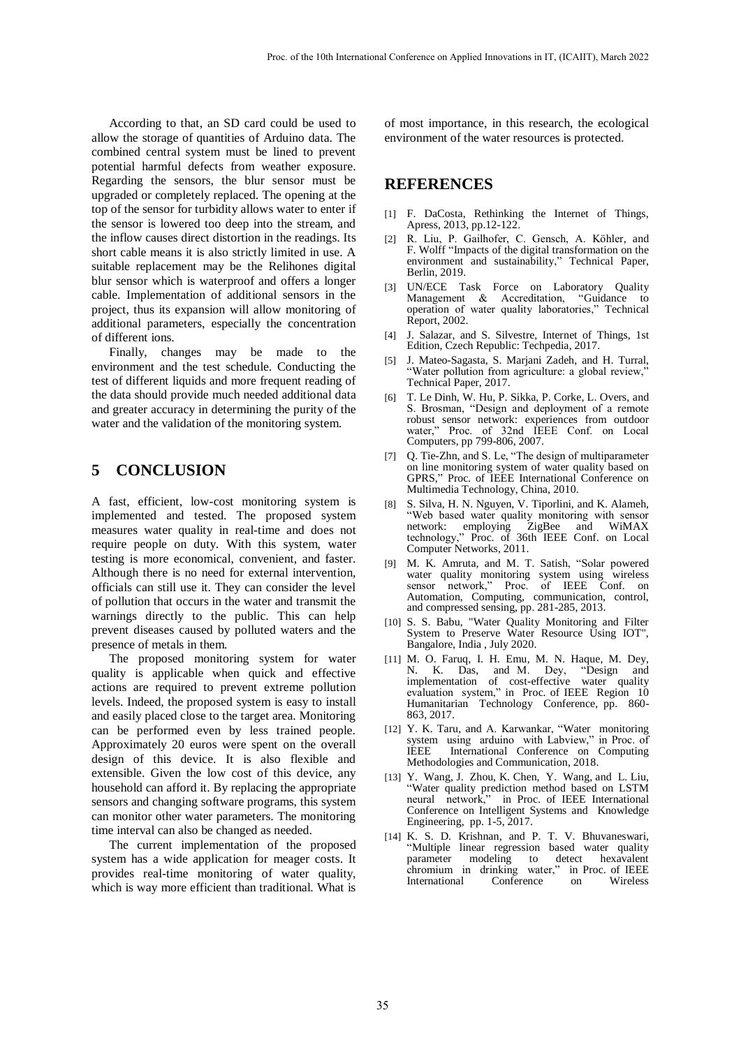According to that, an SD card could be used to allow the storage of quantities of Arduino data. The combined central system must be lined to prevent potential harmful defects from weather exposure. Regarding the sensors, the blur sensor must be upgraded or completely replaced. The opening at the top of the sensor for turbidity allows water to enter if the sensor is lowered too deep into the stream, and the inflow causes direct distortion in the readings. Its short cable means it is also strictly limited in use. A suitable replacement may be the Relihones digital blur sensor which is waterproof and offers a longer cable. Implementation of additional sensors in the project, thus its expansion will allow monitoring of additional parameters, especially the concentration of different ions.

Finally, changes may be made to the environment and the test schedule. Conducting the test of different liquids and more frequent reading of the data should provide much needed additional data and greater accuracy in determining the purity of the water and the validation of the monitoring system.

## **5 CONCLUSION**

A fast, efficient, low-cost monitoring system is implemented and tested. The proposed system measures water quality in real-time and does not require people on duty. With this system, water testing is more economical, convenient, and faster. Although there is no need for external intervention, officials can still use it. They can consider the level of pollution that occurs in the water and transmit the warnings directly to the public. This can help prevent diseases caused by polluted waters and the presence of metals in them.

The proposed monitoring system for water quality is applicable when quick and effective actions are required to prevent extreme pollution levels. Indeed, the proposed system is easy to install and easily placed close to the target area. Monitoring can be performed even by less trained people. Approximately 20 euros were spent on the overall design of this device. It is also flexible and extensible. Given the low cost of this device, any household can afford it. By replacing the appropriate sensors and changing software programs, this system can monitor other water parameters. The monitoring time interval can also be changed as needed.

The current implementation of the proposed system has a wide application for meager costs. It provides real-time monitoring of water quality, which is way more efficient than traditional. What is of most importance, in this research, the ecological environment of the water resources is protected.

### **REFERENCES**

- [1] F. DaCosta, Rethinking the Internet of Things, Apress, 2013, pp.12-122.
- [2] R. Liu, P. Gailhofer, C. Gensch, A. Köhler, and F. Wolff "Impacts of the digital transformation on the environment and sustainability," Technical Paper, Berlin, 2019.
- [3] UN/ECE Task Force on Laboratory Quality<br>Management & Accreditation, "Guidance to Management & Accreditation, operation of water quality laboratories," Technical Report, 2002.
- [4] J. Salazar, and S. Silvestre, Internet of Things, 1st Edition, Czech Republic: Techpedia, 2017.
- [5] J. Mateo-Sagasta, S. Marjani Zadeh, and H. Turral, "Water pollution from agriculture: a global review," Technical Paper, 2017.
- [6] T. Le Dinh, W. Hu, P. Sikka, P. Corke, L. Overs, and S. Brosman, "Design and deployment of a remote robust sensor network: experiences from outdoor water," Proc. of 32nd IEEE Conf. on Local Computers, pp 799-806, 2007.
- [7] Q. Tie-Zhn, and S. Le, "The design of multiparameter on line monitoring system of water quality based on GPRS," Proc. of IEEE International Conference on Multimedia Technology, China, 2010.
- [8] S. Silva, H. N. Nguyen, V. Tiporlini, and K. Alameh, "Web based water quality monitoring with sensor network: employing ZigBee and WiMAX technology," Proc. of 36th IEEE Conf. on Local Computer Networks, 2011.
- [9] M. K. Amruta, and M. T. Satish, "Solar powered water quality monitoring system using wireless sensor network," Proc. of IEEE Conf. on Automation, Computing, communication, control, and compressed sensing, pp. 281-285, 2013.
- [10] S. S. Babu, "Water Quality Monitoring and Filter System to Preserve Water Resource Using IOT", Bangalore, India , July 2020.
- [11] M. O. Faruq, I. H. Emu, M. N. Haque, M. Dey, K. Das, and M. Dey, implementation of cost-effective water quality evaluation system," in Proc. of IEEE Region 10 Humanitarian Technology Conference, pp. 860- 863, 2017.
- [12] Y. K. Taru, and A. Karwankar, "Water monitoring system using arduino with Labview," in Proc. of IEEE International Conference on Computing Methodologies and Communication, 2018.
- [13] Y. Wang, J. Zhou, K. Chen, Y. Wang, and L. Liu, "Water quality prediction method based on LSTM neural network," in Proc. of IEEE International Conference on Intelligent Systems and Knowledge Engineering, pp. 1-5, 2017.
- [14] K. S. D. Krishnan, and P. T. V. Bhuvaneswari, "Multiple linear regression based water quality parameter modeling to detect hexavalent<br>chromium in drinking water," in Proc. of IEEE chromium in drinking water," International Conference on Wireless